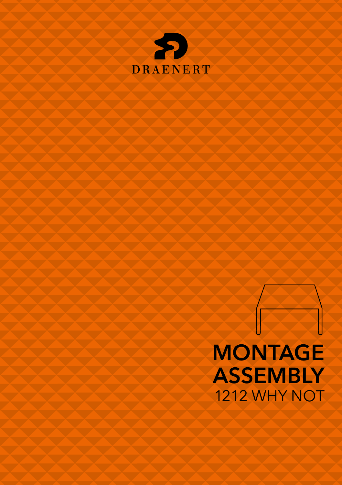

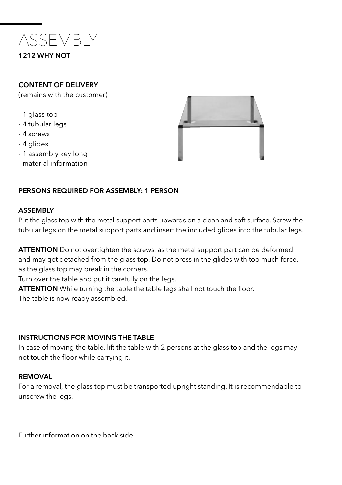

## CONTENT OF DELIVERY

(remains with the customer)

- 1 glass top
- 4 tubular legs
- 4 screws
- 4 glides
- 1 assembly key long
- material information



## PERSONS REQUIRED FOR ASSEMBLY: 1 PERSON

#### ASSEMBLY

Put the glass top with the metal support parts upwards on a clean and soft surface. Screw the tubular legs on the metal support parts and insert the included glides into the tubular legs.

**ATTENTION** Do not overtighten the screws, as the metal support part can be deformed and may get detached from the glass top. Do not press in the glides with too much force, as the glass top may break in the corners.

Turn over the table and put it carefully on the legs.

ATTENTION While turning the table the table legs shall not touch the floor. The table is now ready assembled.

## INSTRUCTIONS FOR MOVING THE TABLE

In case of moving the table, lift the table with 2 persons at the glass top and the legs may not touch the floor while carrying it.

### REMOVAL

For a removal, the glass top must be transported upright standing. It is recommendable to unscrew the legs.

Further information on the back side.